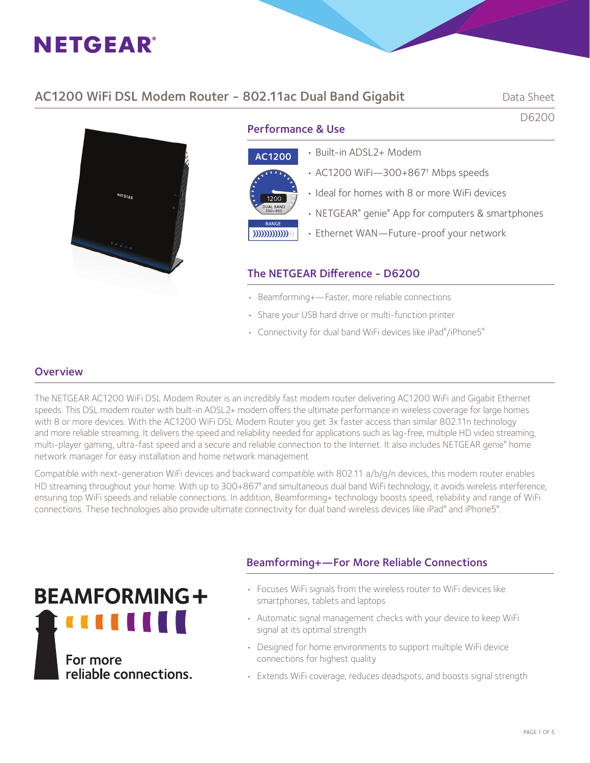# AC1200 WiFi DSL Modem Router - 802.11ac Dual Band Gigabit Data Sheet

D6200



Performance & Use

| <b>AC1200</b>            |  |
|--------------------------|--|
|                          |  |
| 1200<br><b>DUAL BAND</b> |  |
| 300+900<br><b>RANGE</b>  |  |
|                          |  |

#### • Built-in ADSL2+ Modem

- AC1200 WiFi—300+867† Mbps speeds
- Ideal for homes with 8 or more WiFi devices
- NETGEAR® genie® App for computers & smartphones
- Ethernet WAN—Future-proof your network

### The NETGEAR Difference - D6200

- Beamforming+—Faster, more reliable connections
- Share your USB hard drive or multi-function printer
- Connectivity for dual band WiFi devices like iPad®/iPhone5®

### **Overview**

The NETGEAR AC1200 WiFi DSL Modem Router is an incredibly fast modem router delivering AC1200 WiFi and Gigabit Ethernet speeds. This DSL modem router with built-in ADSL2+ modem offers the ultimate performance in wireless coverage for large homes with 8 or more devices. With the AC1200 WiFi DSL Modem Router you get 3x faster access than similar 802.11n technology and more reliable streaming. It delivers the speed and reliability needed for applications such as lag-free, multiple HD video streaming, multi-player gaming, ultra-fast speed and a secure and reliable connection to the Internet. It also includes NETGEAR genie® home network manager for easy installation and home network management

Compatible with next-generation WiFi devices and backward compatible with 802.11 a/b/g/n devices, this modem router enables HD streaming throughout your home. With up to 300+867<sup>†</sup> and simultaneous dual band WiFi technology, it avoids wireless interference, ensuring top WiFi speeds and reliable connections. In addition, Beamforming+ technology boosts speed, reliability and range of WiFi connections. These technologies also provide ultimate connectivity for dual band wireless devices like iPad® and iPhone5®.



# Beamforming+—For More Reliable Connections

- Focuses WiFi signals from the wireless router to WiFi devices like smartphones, tablets and laptops
- Automatic signal management checks with your device to keep WiFi signal at its optimal strength
- Designed for home environments to support multiple WiFi device connections for highest quality
- Extends WiFi coverage, reduces deadspots, and boosts signal strength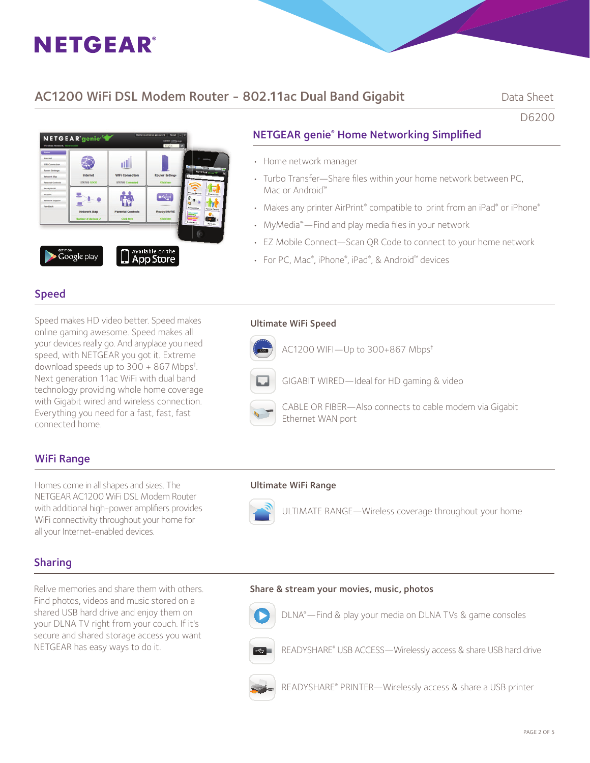# AC1200 WiFi DSL Modem Router - 802.11ac Dual Band Gigabit Data Sheet

D6200



# NETGEAR genie® Home Networking Simplifi ed

- Home network manager
- Turbo Transfer-Share files within your home network between PC, Mac or Android™
- Makes any printer AirPrint® compatible to print from an iPad® or iPhone®
- MyMedia<sup>™</sup>—Find and play media files in your network
- EZ Mobile Connect—Scan QR Code to connect to your home network
- For PC, Mac®, iPhone®, iPad®, & Android™ devices

# Speed

Speed makes HD video better. Speed makes online gaming awesome. Speed makes all your devices really go. And anyplace you need speed, with NETGEAR you got it. Extreme download speeds up to 300 + 867Mbps† . Next generation 11ac WiFi with dual band technology providing whole home coverage with Gigabit wired and wireless connection. Everything you need for a fast, fast, fast connected home.

#### Ultimate WiFi Speed



# WiFi Range

Homes come in all shapes and sizes. The **Ultimate WiFi Range** NETGEAR AC1200 WiFi DSL Modem Router with additional high-power amplifiers provides WiFi connectivity throughout your home for all your Internet-enabled devices.



# Sharing

Relive memories and share them with others. Find photos, videos and music stored on a shared USB hard drive and enjoy them on your DLNA TV right from your couch. If it's secure and shared storage access you want NETGEAR has easy ways to do it.

Share & stream your movies, music, photos



**DENA®**—Find & play your media on DLNA TVs & game consoles



**READYSHARE®** USB ACCESS—Wirelessly access & share USB hard drive



READYSHARE® PRINTER—Wirelessly access & share a USB printer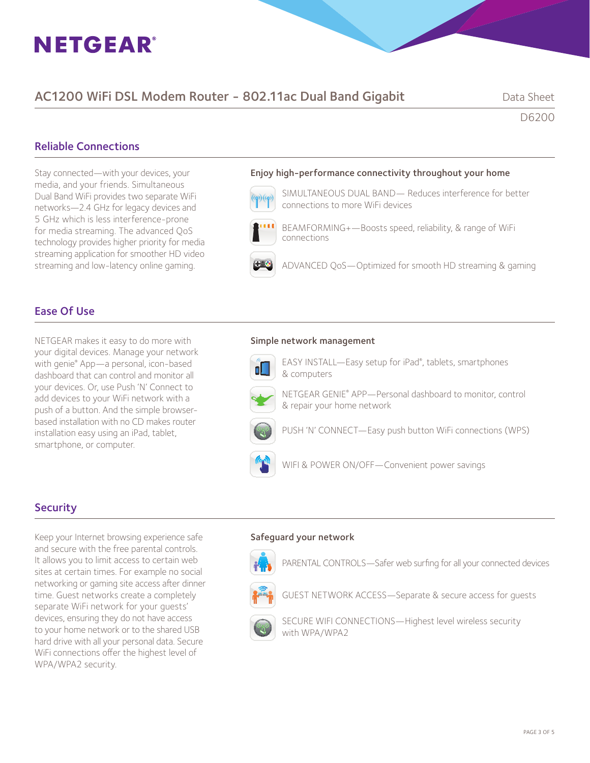# AC1200 WiFi DSL Modem Router - 802.11ac Dual Band Gigabit Data Sheet

D6200

### Reliable Connections

Stay connected—with your devices, your media, and your friends. Simultaneous Dual Band WiFi provides two separate WiFi networks—2.4 GHz for legacy devices and 5 GHz which is less interference-prone for media streaming. The advanced QoS technology provides higher priority for media streaming application for smoother HD video streaming and low-latency online gaming.

# Enjoy high-performance connectivity throughout your home



 SIMULTANEOUS DUAL BAND— Reduces interference for better connections to more WiFi devices



 BEAMFORMING+—Boosts speed, reliability, & range of WiFi connections

ADVANCED QoS—Optimized for smooth HD streaming & gaming

### Ease Of Use

NETGEAR makes it easy to do more with your digital devices. Manage your network with genie® App—a personal, icon-based dashboard that can control and monitor all your devices. Or, use Push 'N' Connect to add devices to your WiFi network with a push of a button. And the simple browserbased installation with no CD makes router installation easy using an iPad, tablet, smartphone, or computer.

#### Simple network management



**EASY INSTALL—Easy setup for iPad®**, tablets, smartphones & computers



NETGEAR GENIE® APP—Personal dashboard to monitor, control & repair your home network



PUSH 'N' CONNECT-Easy push button WiFi connections (WPS)



WIFI & POWER ON/OFF-Convenient power savings

#### **Security**

Keep your Internet browsing experience safe and secure with the free parental controls. It allows you to limit access to certain web sites at certain times. For example no social networking or gaming site access after dinner time. Guest networks create a completely separate WiFi network for your guests' devices, ensuring they do not have access to your home network or to the shared USB hard drive with all your personal data. Secure WiFi connections offer the highest level of WPA/WPA2 security.

#### Safeguard your network



PARENTAL CONTROLS-Safer web surfing for all your connected devices



GUEST NETWORK ACCESS—Separate & secure access for guests



 SECURE WIFI CONNECTIONS—Highest level wireless security with WPA/WPA2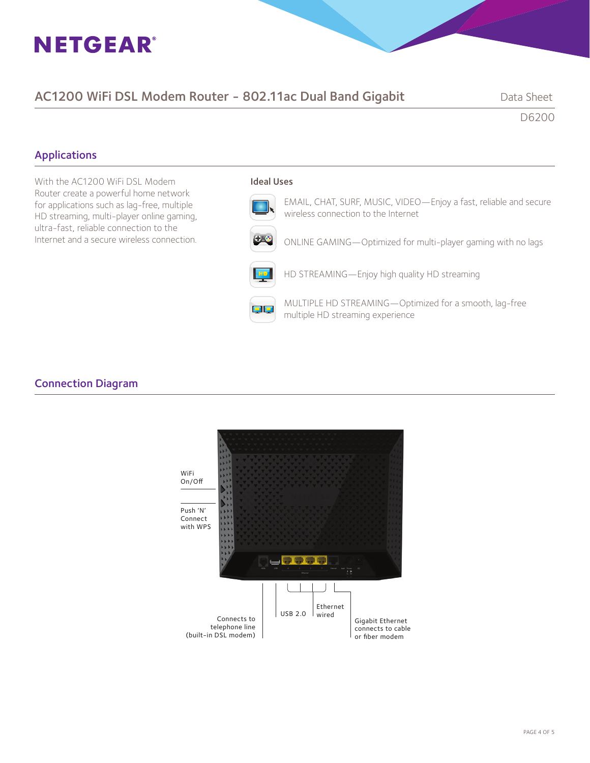# AC1200 WiFi DSL Modem Router - 802.11ac Dual Band Gigabit Data Sheet

D6200

# Applications

With the AC1200 WiFi DSL Modem Router create a powerful home network for applications such as lag-free, multiple HD streaming, multi-player online gaming, ultra-fast, reliable connection to the Internet and a secure wireless connection.

#### Ideal Uses

EMAIL, CHAT, SURF, MUSIC, VIDEO—Enjoy a fast, reliable and secure wireless connection to the Internet



ONLINE GAMING—Optimized for multi-player gaming with no lags

HD STREAMING—Enjoy high quality HD streaming

**MULTIPLE HD STREAMING—Optimized for a smooth, lag-free** multiple HD streaming experience

### Connection Diagram